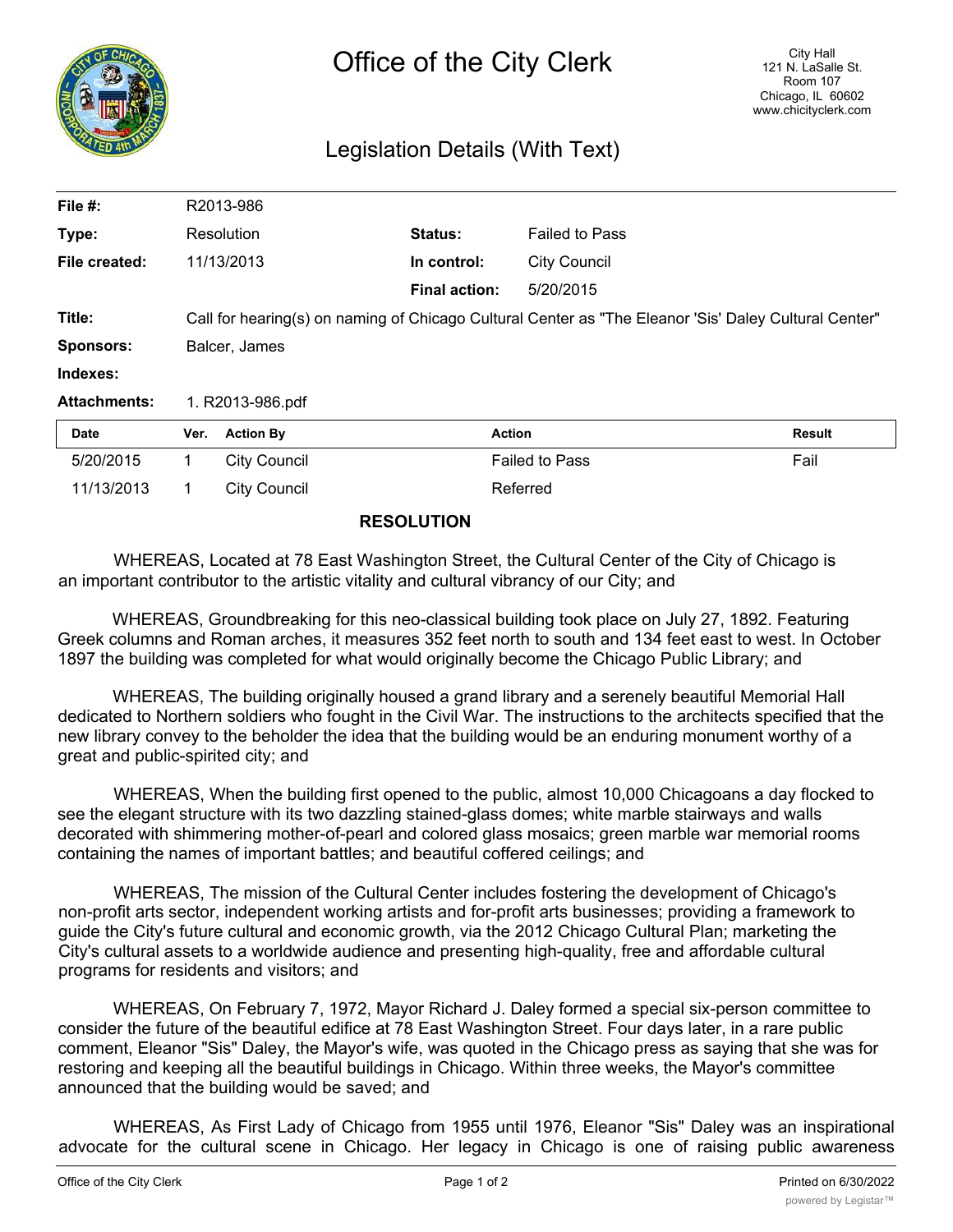

## Legislation Details (With Text)

| File #:             |                                                                                                       | R2013-986           |                      |                       |               |
|---------------------|-------------------------------------------------------------------------------------------------------|---------------------|----------------------|-----------------------|---------------|
| Type:               |                                                                                                       | Resolution          | Status:              | <b>Failed to Pass</b> |               |
| File created:       |                                                                                                       | 11/13/2013          | In control:          | <b>City Council</b>   |               |
|                     |                                                                                                       |                     | <b>Final action:</b> | 5/20/2015             |               |
| Title:              | "Call for hearing(s) on naming of Chicago Cultural Center as "The Eleanor 'Sis' Daley Cultural Center |                     |                      |                       |               |
| <b>Sponsors:</b>    | Balcer, James                                                                                         |                     |                      |                       |               |
| Indexes:            |                                                                                                       |                     |                      |                       |               |
| <b>Attachments:</b> | 1. R2013-986.pdf                                                                                      |                     |                      |                       |               |
| Date                | Ver.                                                                                                  | <b>Action By</b>    | <b>Action</b>        |                       | <b>Result</b> |
| 5/20/2015           | 1                                                                                                     | <b>City Council</b> |                      | <b>Failed to Pass</b> | Fail          |
| 11/13/2013          |                                                                                                       | <b>City Council</b> |                      | Referred              |               |

## **RESOLUTION**

WHEREAS, Located at 78 East Washington Street, the Cultural Center of the City of Chicago is an important contributor to the artistic vitality and cultural vibrancy of our City; and

WHEREAS, Groundbreaking for this neo-classical building took place on July 27, 1892. Featuring Greek columns and Roman arches, it measures 352 feet north to south and 134 feet east to west. In October 1897 the building was completed for what would originally become the Chicago Public Library; and

WHEREAS, The building originally housed a grand library and a serenely beautiful Memorial Hall dedicated to Northern soldiers who fought in the Civil War. The instructions to the architects specified that the new library convey to the beholder the idea that the building would be an enduring monument worthy of a great and public-spirited city; and

WHEREAS, When the building first opened to the public, almost 10,000 Chicagoans a day flocked to see the elegant structure with its two dazzling stained-glass domes; white marble stairways and walls decorated with shimmering mother-of-pearl and colored glass mosaics; green marble war memorial rooms containing the names of important battles; and beautiful coffered ceilings; and

WHEREAS, The mission of the Cultural Center includes fostering the development of Chicago's non-profit arts sector, independent working artists and for-profit arts businesses; providing a framework to guide the City's future cultural and economic growth, via the 2012 Chicago Cultural Plan; marketing the City's cultural assets to a worldwide audience and presenting high-quality, free and affordable cultural programs for residents and visitors; and

WHEREAS, On February 7, 1972, Mayor Richard J. Daley formed a special six-person committee to consider the future of the beautiful edifice at 78 East Washington Street. Four days later, in a rare public comment, Eleanor "Sis" Daley, the Mayor's wife, was quoted in the Chicago press as saying that she was for restoring and keeping all the beautiful buildings in Chicago. Within three weeks, the Mayor's committee announced that the building would be saved; and

WHEREAS, As First Lady of Chicago from 1955 until 1976, Eleanor "Sis" Daley was an inspirational advocate for the cultural scene in Chicago. Her legacy in Chicago is one of raising public awareness